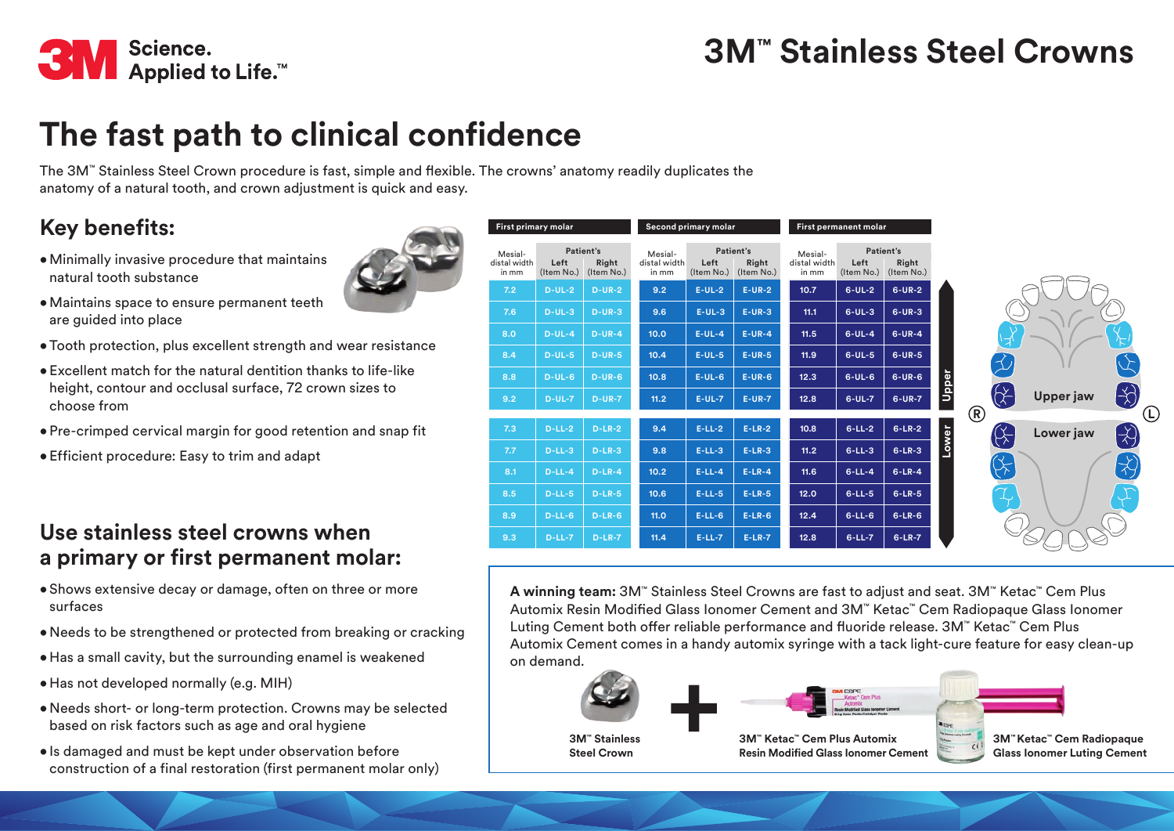

# **The fast path to clinical confidence**

The 3M™ Stainless Steel Crown procedure is fast, simple and flexible. The crowns' anatomy readily duplicates the anatomy of a natural tooth, and crown adjustment is quick and easy.

### **Key benefits:**

•Minimally invasive procedure that maintains natural tooth substance



- •Maintains space to ensure permanent teeth are guided into place
- •Tooth protection, plus excellent strength and wear resistance
- Excellent match for the natural dentition thanks to life-like height, contour and occlusal surface, 72 crown sizes to choose from
- Pre-crimped cervical margin for good retention and snap fit
- Efficient procedure: Easy to trim and adapt

#### **Use stainless steel crowns when a primary or first permanent molar:**

- Shows extensive decay or damage, often on three or more surfaces
- •Needs to be strengthened or protected from breaking or cracking
- Has a small cavity, but the surrounding enamel is weakened
- Has not developed normally (e.g. MIH)
- •Needs short- or long-term protection. Crowns may be selected based on risk factors such as age and oral hygiene
- Is damaged and must be kept under observation before construction of a final restoration (first permanent molar only)

| First primary molar              |                    |                                  | Second primary molar             |                    |                                  | First permanent molar            |                    |                                  |                                                            |
|----------------------------------|--------------------|----------------------------------|----------------------------------|--------------------|----------------------------------|----------------------------------|--------------------|----------------------------------|------------------------------------------------------------|
| Mesial-<br>distal width<br>in mm | Left<br>(Item No.) | Patient's<br>Right<br>(Item No.) | Mesial-<br>distal width<br>in mm | Left<br>(Item No.) | Patient's<br>Right<br>(Item No.) | Mesial-<br>distal width<br>in mm | Left<br>(Item No.) | Patient's<br>Right<br>(Item No.) |                                                            |
| 7.2                              | $D-UL-2$           | $D-UR-2$                         | 9.2                              | $E-UL-2$           | $E-UR-2$                         | 10.7                             | $6-UL-2$           | $6-UR-2$                         |                                                            |
| 7.6                              | $D-UL-3$           | $D-UR-3$                         | 9.6                              | $E-UL-3$           | $E-UR-3$                         | 11.1                             | $6-UL-3$           | $6-UR-3$                         |                                                            |
| 8.0                              | $D-UL-4$           | $D-UR-4$                         | 10.0                             | $E-UL-4$           | $E-UR-4$                         | 11.5                             | $6-UL-4$           | $6$ -UR-4                        |                                                            |
| 8.4                              | $D-UL-5$           | $D-UR-5$                         | 10.4                             | $E-UL-5$           | $E-UR-5$                         | 11.9                             | $6-UL-5$           | $6-UR-5$                         |                                                            |
| 8.8                              | $D-UL-6$           | $D-UR-G$                         | 10.8                             | $E-UL-6$           | $E-UR-6$                         | 12.3                             | $6-UL-6$           | $6-UR-6$                         |                                                            |
| 9.2                              | $D-UL-7$           | $D-UR-7$                         | 11.2                             | $E-UL-7$           | $E-UR-7$                         | 12.8                             | $6-UL-7$           | $6-UR-7$                         | Upper<br>$\left(\frac{1}{2}\right)$<br>$\chi$<br>Upper jaw |
| 7.3                              | $D-LL-2$           | $D-LR-2$                         | 9.4                              | $E-LL-2$           | $E-LR-2$                         | 10.8                             | $6-LL-2$           | $6-LR-2$                         | $^{\circledR}$<br>$\mathbb{X}$<br>Lower jaw                |
| 7.7                              | $D-LL-3$           | $D-LR-3$                         | 9.8                              | $E-LL-3$           | $E-LR-3$                         | 11.2                             | $6-LL-3$           | $6-LR-3$                         | Lower<br>$\bigotimes$                                      |
| 8.1                              | $D-LL-4$           | $D-LR-4$                         | 10.2                             | $E-LL-4$           | $E-LR-4$                         | 11.6                             | $6-LL-4$           | $6-LR-4$                         | $\overleftrightarrow{c}$                                   |
| 8.5                              | $D-LL-5$           | $D-LR-5$                         | 10.6                             | $E-LL-5$           | $E-LR-5$                         | 12.0                             | $6-LL-5$           | $6-LR-5$                         | A<br>I,                                                    |
| 8.9                              | $D-LL-6$           | $D-LR-6$                         | 11.0                             | $E-LL-6$           | $E-LR-6$                         | 12.4                             | $6-LL-6$           | $6-LR-6$                         |                                                            |
| 9.3                              | $D-LL-7$           | $D-LR-7$                         | 11.4                             | $E-LL-7$           | $E-LR-7$                         | 12.8                             | $6-LL-7$           | $6 - LR - 7$                     |                                                            |

**A winning team:** 3M™ Stainless Steel Crowns are fast to adjust and seat. 3M™ Ketac™ Cem Plus Automix Resin Modified Glass Ionomer Cement and 3M™ Ketac™ Cem Radiopaque Glass Ionomer Luting Cement both offer reliable performance and fluoride release. 3M™ Ketac™ Cem Plus Automix Cement comes in a handy automix syringe with a tack light-cure feature for easy clean-up on demand.



**Steel Crown**



**Resin Modified Glass Ionomer Cement**

**3M™ Ketac™ Cem Radiopaque Glass Ionomer Luting Cement**